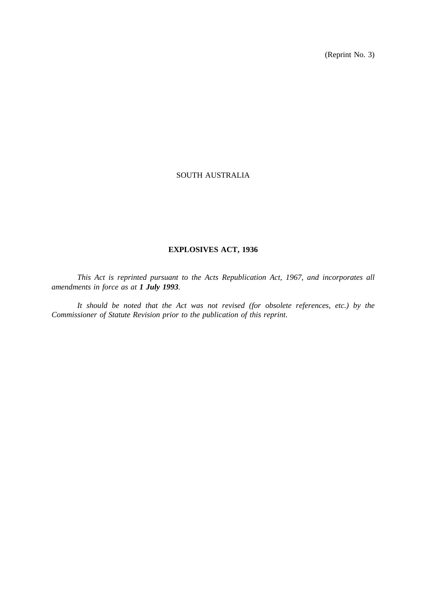(Reprint No. 3)

## SOUTH AUSTRALIA

## **EXPLOSIVES ACT, 1936**

*This Act is reprinted pursuant to the Acts Republication Act, 1967, and incorporates all amendments in force as at 1 July 1993.*

*It should be noted that the Act was not revised (for obsolete references, etc.) by the Commissioner of Statute Revision prior to the publication of this reprint*.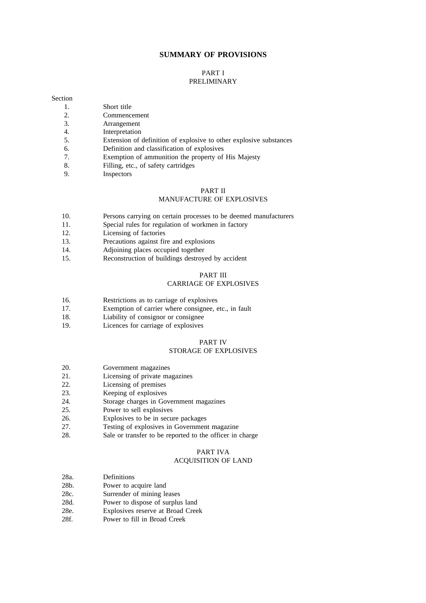## **SUMMARY OF PROVISIONS**

#### PART I PRELIMINARY

### Section

- 1. Short title
- 2. Commencement
- 3. Arrangement<br>4. Interpretation
- Interpretation
- 5. Extension of definition of explosive to other explosive substances
- 6. Definition and classification of explosives
- 7. Exemption of ammunition the property of His Majesty
- 8. Filling, etc., of safety cartridges
- 9. Inspectors

## PART II MANUFACTURE OF EXPLOSIVES

- 10. Persons carrying on certain processes to be deemed manufacturers
- 11. Special rules for regulation of workmen in factory
- 12. Licensing of factories
- 13. Precautions against fire and explosions
- 14. Adjoining places occupied together
- 15. Reconstruction of buildings destroyed by accident

#### PART III CARRIAGE OF EXPLOSIVES

- 16. Restrictions as to carriage of explosives
- 17. Exemption of carrier where consignee, etc., in fault
- 18. Liability of consignor or consignee
- 19. Licences for carriage of explosives

## PART IV STORAGE OF EXPLOSIVES

- 20. Government magazines
- 21. Licensing of private magazines
- 22. Licensing of premises
- 23. Keeping of explosives<br>24. Storage charges in Go
- Storage charges in Government magazines
- 25. Power to sell explosives
- 26. Explosives to be in secure packages
- 27. Testing of explosives in Government magazine
- 28. Sale or transfer to be reported to the officer in charge

## PART IVA

## ACQUISITION OF LAND

- 28a. Definitions
- 28b. Power to acquire land<br>28c. Surrender of mining le
- Surrender of mining leases
- 28d. Power to dispose of surplus land
- 28e. Explosives reserve at Broad Creek
- 28f. Power to fill in Broad Creek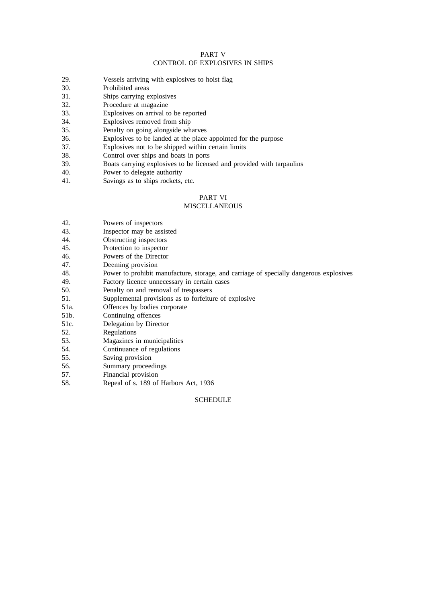## PART V CONTROL OF EXPLOSIVES IN SHIPS

- 29. Vessels arriving with explosives to hoist flag
- 30. Prohibited areas
- 31. Ships carrying explosives
- 32. Procedure at magazine
- 33. Explosives on arrival to be reported
- 34. Explosives removed from ship
- 35. Penalty on going alongside wharves
- 36. Explosives to be landed at the place appointed for the purpose
- 37. Explosives not to be shipped within certain limits
- 38. Control over ships and boats in ports
- 39. Boats carrying explosives to be licensed and provided with tarpaulins
- 40. Power to delegate authority
- 41. Savings as to ships rockets, etc.

## PART VI

## **MISCELLANEOUS**

- 42. Powers of inspectors
- 43. Inspector may be assisted
- 44. Obstructing inspectors
- 45. Protection to inspector<br>46. Powers of the Director
- Powers of the Director
- 47. Deeming provision
- 48. Power to prohibit manufacture, storage, and carriage of specially dangerous explosives
- 49. Factory licence unnecessary in certain cases
- 50. Penalty on and removal of trespassers
- 51. Supplemental provisions as to forfeiture of explosive
- 51a. Offences by bodies corporate
- 51b. Continuing offences
- 51c. Delegation by Director
- 52. Regulations<br>53. Magazines i
- Magazines in municipalities
- 54. Continuance of regulations
- 55. Saving provision
- 56. Summary proceedings
- 57. Financial provision
- 58. Repeal of s. 189 of Harbors Act, 1936

## SCHEDULE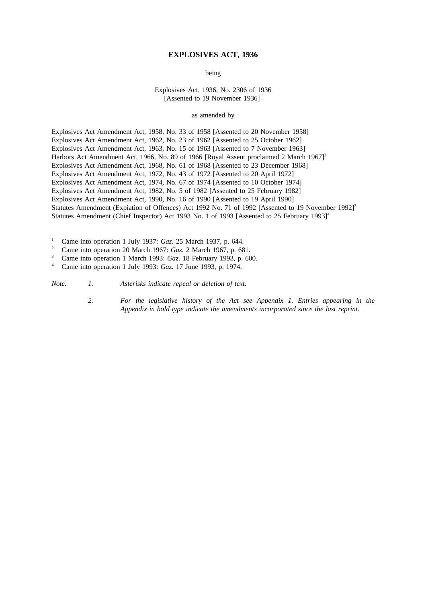#### **EXPLOSIVES ACT, 1936**

being

Explosives Act, 1936, No. 2306 of 1936 [Assented to 19 November  $1936$ ]<sup>1</sup>

as amended by

Explosives Act Amendment Act, 1958, No. 33 of 1958 [Assented to 20 November 1958] Explosives Act Amendment Act, 1962, No. 23 of 1962 [Assented to 25 October 1962] Explosives Act Amendment Act, 1963, No. 15 of 1963 [Assented to 7 November 1963] Harbors Act Amendment Act, 1966, No. 89 of 1966 [Royal Assent proclaimed 2 March 1967]<sup>2</sup> Explosives Act Amendment Act, 1968, No. 61 of 1968 [Assented to 23 December 1968] Explosives Act Amendment Act, 1972, No. 43 of 1972 [Assented to 20 April 1972] Explosives Act Amendment Act, 1974, No. 67 of 1974 [Assented to 10 October 1974] Explosives Act Amendment Act, 1982, No. 5 of 1982 [Assented to 25 February 1982] Explosives Act Amendment Act, 1990, No. 16 of 1990 [Assented to 19 April 1990] Statutes Amendment (Expiation of Offences) Act 1992 No. 71 of 1992 [Assented to 19 November 1992]<sup>3</sup> Statutes Amendment (Chief Inspector) Act 1993 No. 1 of 1993 [Assented to 25 February 1993]<sup>4</sup>

<sup>1</sup> Came into operation 1 July 1937: *Gaz.* 25 March 1937, p. 644.

<sup>2</sup> Came into operation 20 March 1967: *Gaz*. 2 March 1967, p. 681.<br><sup>3</sup> Came into operation 1 March 1993: *Gaz*. 18 February 1993, p. 60

<sup>3</sup> Came into operation 1 March 1993: *Gaz*. 18 February 1993, p. 600.<br><sup>4</sup> Came into operation 1 July 1993: *Gaz*. 17 June 1993, p. 1974

<sup>4</sup> Came into operation 1 July 1993: *Gaz*. 17 June 1993, p. 1974.

*Note: 1. Asterisks indicate repeal or deletion of text.*

*2. For the legislative history of the Act see Appendix 1. Entries appearing in the Appendix in bold type indicate the amendments incorporated since the last reprint.*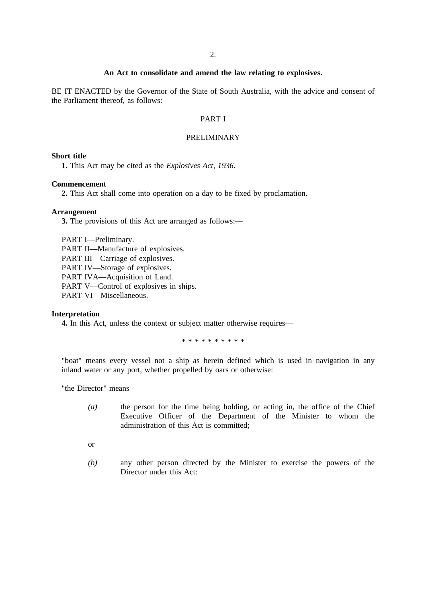## **An Act to consolidate and amend the law relating to explosives.**

BE IT ENACTED by the Governor of the State of South Australia, with the advice and consent of the Parliament thereof, as follows:

## PART I

## PRELIMINARY

## **Short title**

**1.** This Act may be cited as the *Explosives Act, 1936*.

## **Commencement**

**2.** This Act shall come into operation on a day to be fixed by proclamation.

### **Arrangement**

**3.** The provisions of this Act are arranged as follows:—

PART I—Preliminary. PART II—Manufacture of explosives. PART III—Carriage of explosives. PART IV—Storage of explosives. PART IVA—Acquisition of Land. PART V—Control of explosives in ships. PART VI-Miscellaneous.

## **Interpretation**

**4.** In this Act, unless the context or subject matter otherwise requires—

\*\*\*\*\*\*\*\*\*\*

"boat" means every vessel not a ship as herein defined which is used in navigation in any inland water or any port, whether propelled by oars or otherwise:

"the Director" means—

- *(a)* the person for the time being holding, or acting in, the office of the Chief Executive Officer of the Department of the Minister to whom the administration of this Act is committed;
- or
- *(b)* any other person directed by the Minister to exercise the powers of the Director under this Act: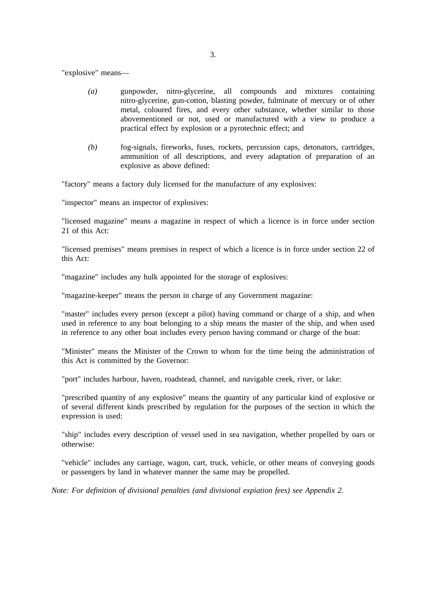"explosive" means—

- *(a)* gunpowder, nitro-glycerine, all compounds and mixtures containing nitro-glycerine, gun-cotton, blasting powder, fulminate of mercury or of other metal, coloured fires, and every other substance, whether similar to those abovementioned or not, used or manufactured with a view to produce a practical effect by explosion or a pyrotechnic effect; and
- *(b)* fog-signals, fireworks, fuses, rockets, percussion caps, detonators, cartridges, ammunition of all descriptions, and every adaptation of preparation of an explosive as above defined:

"factory" means a factory duly licensed for the manufacture of any explosives:

"inspector" means an inspector of explosives:

"licensed magazine" means a magazine in respect of which a licence is in force under section 21 of this Act:

"licensed premises" means premises in respect of which a licence is in force under section 22 of this Act:

"magazine" includes any hulk appointed for the storage of explosives:

"magazine-keeper" means the person in charge of any Government magazine:

"master" includes every person (except a pilot) having command or charge of a ship, and when used in reference to any boat belonging to a ship means the master of the ship, and when used in reference to any other boat includes every person having command or charge of the boat:

"Minister" means the Minister of the Crown to whom for the time being the administration of this Act is committed by the Governor:

"port" includes harbour, haven, roadstead, channel, and navigable creek, river, or lake:

"prescribed quantity of any explosive" means the quantity of any particular kind of explosive or of several different kinds prescribed by regulation for the purposes of the section in which the expression is used:

"ship" includes every description of vessel used in sea navigation, whether propelled by oars or otherwise:

"vehicle" includes any carriage, wagon, cart, truck, vehicle, or other means of conveying goods or passengers by land in whatever manner the same may be propelled.

*Note: For definition of divisional penalties (and divisional expiation fees) see Appendix 2*.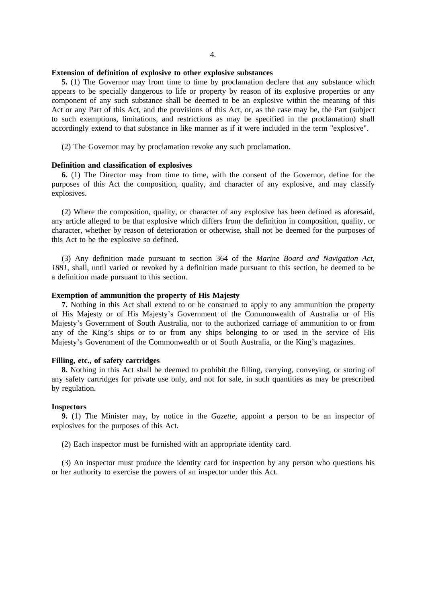### **Extension of definition of explosive to other explosive substances**

**5.** (1) The Governor may from time to time by proclamation declare that any substance which appears to be specially dangerous to life or property by reason of its explosive properties or any component of any such substance shall be deemed to be an explosive within the meaning of this Act or any Part of this Act, and the provisions of this Act, or, as the case may be, the Part (subject to such exemptions, limitations, and restrictions as may be specified in the proclamation) shall accordingly extend to that substance in like manner as if it were included in the term "explosive".

(2) The Governor may by proclamation revoke any such proclamation.

#### **Definition and classification of explosives**

**6.** (1) The Director may from time to time, with the consent of the Governor, define for the purposes of this Act the composition, quality, and character of any explosive, and may classify explosives.

(2) Where the composition, quality, or character of any explosive has been defined as aforesaid, any article alleged to be that explosive which differs from the definition in composition, quality, or character, whether by reason of deterioration or otherwise, shall not be deemed for the purposes of this Act to be the explosive so defined.

(3) Any definition made pursuant to section 364 of the *Marine Board and Navigation Act, 1881*, shall, until varied or revoked by a definition made pursuant to this section, be deemed to be a definition made pursuant to this section.

### **Exemption of ammunition the property of His Majesty**

**7.** Nothing in this Act shall extend to or be construed to apply to any ammunition the property of His Majesty or of His Majesty's Government of the Commonwealth of Australia or of His Majesty's Government of South Australia, nor to the authorized carriage of ammunition to or from any of the King's ships or to or from any ships belonging to or used in the service of His Majesty's Government of the Commonwealth or of South Australia, or the King's magazines.

### **Filling, etc., of safety cartridges**

**8.** Nothing in this Act shall be deemed to prohibit the filling, carrying, conveying, or storing of any safety cartridges for private use only, and not for sale, in such quantities as may be prescribed by regulation.

### **Inspectors**

**9.** (1) The Minister may, by notice in the *Gazette*, appoint a person to be an inspector of explosives for the purposes of this Act.

(2) Each inspector must be furnished with an appropriate identity card.

(3) An inspector must produce the identity card for inspection by any person who questions his or her authority to exercise the powers of an inspector under this Act.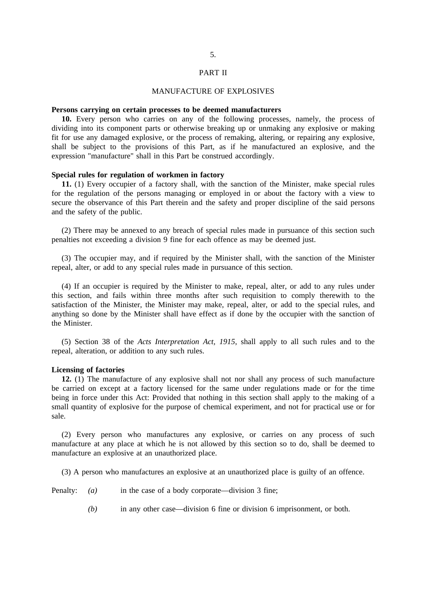#### PART II

### MANUFACTURE OF EXPLOSIVES

#### **Persons carrying on certain processes to be deemed manufacturers**

**10.** Every person who carries on any of the following processes, namely, the process of dividing into its component parts or otherwise breaking up or unmaking any explosive or making fit for use any damaged explosive, or the process of remaking, altering, or repairing any explosive, shall be subject to the provisions of this Part, as if he manufactured an explosive, and the expression "manufacture" shall in this Part be construed accordingly.

#### **Special rules for regulation of workmen in factory**

**11.** (1) Every occupier of a factory shall, with the sanction of the Minister, make special rules for the regulation of the persons managing or employed in or about the factory with a view to secure the observance of this Part therein and the safety and proper discipline of the said persons and the safety of the public.

(2) There may be annexed to any breach of special rules made in pursuance of this section such penalties not exceeding a division 9 fine for each offence as may be deemed just.

(3) The occupier may, and if required by the Minister shall, with the sanction of the Minister repeal, alter, or add to any special rules made in pursuance of this section.

(4) If an occupier is required by the Minister to make, repeal, alter, or add to any rules under this section, and fails within three months after such requisition to comply therewith to the satisfaction of the Minister, the Minister may make, repeal, alter, or add to the special rules, and anything so done by the Minister shall have effect as if done by the occupier with the sanction of the Minister.

(5) Section 38 of the *Acts Interpretation Act, 1915*, shall apply to all such rules and to the repeal, alteration, or addition to any such rules.

## **Licensing of factories**

**12.** (1) The manufacture of any explosive shall not nor shall any process of such manufacture be carried on except at a factory licensed for the same under regulations made or for the time being in force under this Act: Provided that nothing in this section shall apply to the making of a small quantity of explosive for the purpose of chemical experiment, and not for practical use or for sale.

(2) Every person who manufactures any explosive, or carries on any process of such manufacture at any place at which he is not allowed by this section so to do, shall be deemed to manufacture an explosive at an unauthorized place.

(3) A person who manufactures an explosive at an unauthorized place is guilty of an offence.

Penalty: *(a)* in the case of a body corporate—division 3 fine;

*(b)* in any other case—division 6 fine or division 6 imprisonment, or both.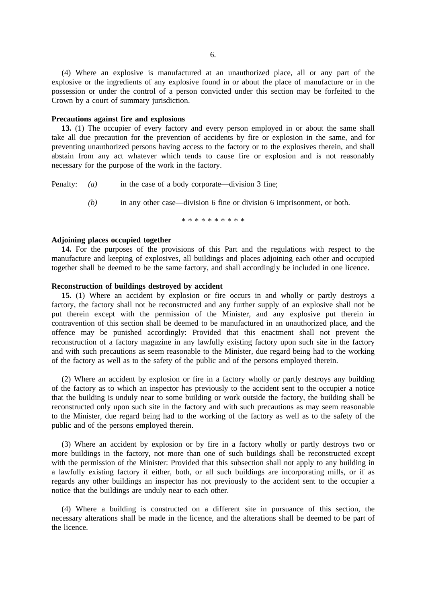(4) Where an explosive is manufactured at an unauthorized place, all or any part of the explosive or the ingredients of any explosive found in or about the place of manufacture or in the possession or under the control of a person convicted under this section may be forfeited to the Crown by a court of summary jurisdiction.

#### **Precautions against fire and explosions**

**13.** (1) The occupier of every factory and every person employed in or about the same shall take all due precaution for the prevention of accidents by fire or explosion in the same, and for preventing unauthorized persons having access to the factory or to the explosives therein, and shall abstain from any act whatever which tends to cause fire or explosion and is not reasonably necessary for the purpose of the work in the factory.

Penalty: *(a)* in the case of a body corporate—division 3 fine;

*(b)* in any other case—division 6 fine or division 6 imprisonment, or both.

\*\*\*\*\*\*\*\*\*\*

## **Adjoining places occupied together**

**14.** For the purposes of the provisions of this Part and the regulations with respect to the manufacture and keeping of explosives, all buildings and places adjoining each other and occupied together shall be deemed to be the same factory, and shall accordingly be included in one licence.

## **Reconstruction of buildings destroyed by accident**

**15.** (1) Where an accident by explosion or fire occurs in and wholly or partly destroys a factory, the factory shall not be reconstructed and any further supply of an explosive shall not be put therein except with the permission of the Minister, and any explosive put therein in contravention of this section shall be deemed to be manufactured in an unauthorized place, and the offence may be punished accordingly: Provided that this enactment shall not prevent the reconstruction of a factory magazine in any lawfully existing factory upon such site in the factory and with such precautions as seem reasonable to the Minister, due regard being had to the working of the factory as well as to the safety of the public and of the persons employed therein.

(2) Where an accident by explosion or fire in a factory wholly or partly destroys any building of the factory as to which an inspector has previously to the accident sent to the occupier a notice that the building is unduly near to some building or work outside the factory, the building shall be reconstructed only upon such site in the factory and with such precautions as may seem reasonable to the Minister, due regard being had to the working of the factory as well as to the safety of the public and of the persons employed therein.

(3) Where an accident by explosion or by fire in a factory wholly or partly destroys two or more buildings in the factory, not more than one of such buildings shall be reconstructed except with the permission of the Minister: Provided that this subsection shall not apply to any building in a lawfully existing factory if either, both, or all such buildings are incorporating mills, or if as regards any other buildings an inspector has not previously to the accident sent to the occupier a notice that the buildings are unduly near to each other.

(4) Where a building is constructed on a different site in pursuance of this section, the necessary alterations shall be made in the licence, and the alterations shall be deemed to be part of the licence.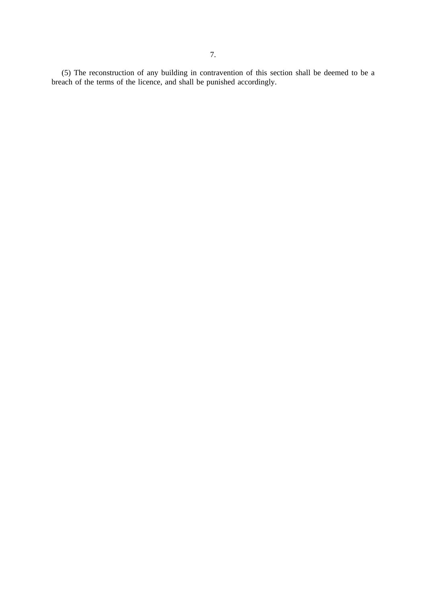7.

(5) The reconstruction of any building in contravention of this section shall be deemed to be a breach of the terms of the licence, and shall be punished accordingly.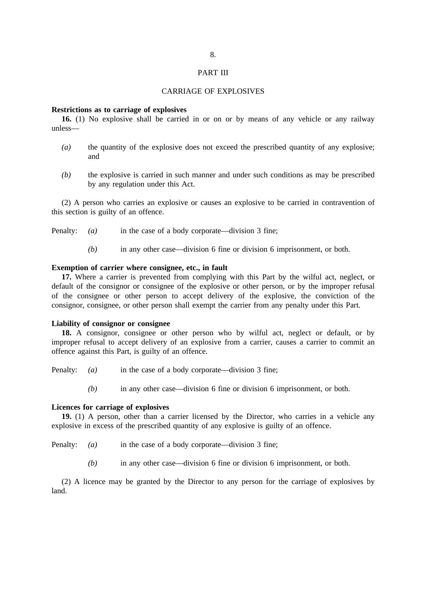#### PART III

## CARRIAGE OF EXPLOSIVES

#### **Restrictions as to carriage of explosives**

**16.** (1) No explosive shall be carried in or on or by means of any vehicle or any railway unless—

- *(a)* the quantity of the explosive does not exceed the prescribed quantity of any explosive; and
- *(b)* the explosive is carried in such manner and under such conditions as may be prescribed by any regulation under this Act.

(2) A person who carries an explosive or causes an explosive to be carried in contravention of this section is guilty of an offence.

- Penalty: *(a)* in the case of a body corporate—division 3 fine;
	- *(b)* in any other case—division 6 fine or division 6 imprisonment, or both.

### **Exemption of carrier where consignee, etc., in fault**

**17.** Where a carrier is prevented from complying with this Part by the wilful act, neglect, or default of the consignor or consignee of the explosive or other person, or by the improper refusal of the consignee or other person to accept delivery of the explosive, the conviction of the consignor, consignee, or other person shall exempt the carrier from any penalty under this Part.

#### **Liability of consignor or consignee**

**18.** A consignor, consignee or other person who by wilful act, neglect or default, or by improper refusal to accept delivery of an explosive from a carrier, causes a carrier to commit an offence against this Part, is guilty of an offence.

- Penalty: *(a)* in the case of a body corporate—division 3 fine;
	- *(b)* in any other case—division 6 fine or division 6 imprisonment, or both.

## **Licences for carriage of explosives**

**19.** (1) A person, other than a carrier licensed by the Director, who carries in a vehicle any explosive in excess of the prescribed quantity of any explosive is guilty of an offence.

- Penalty: *(a)* in the case of a body corporate—division 3 fine;
	- *(b)* in any other case—division 6 fine or division 6 imprisonment, or both.

(2) A licence may be granted by the Director to any person for the carriage of explosives by land.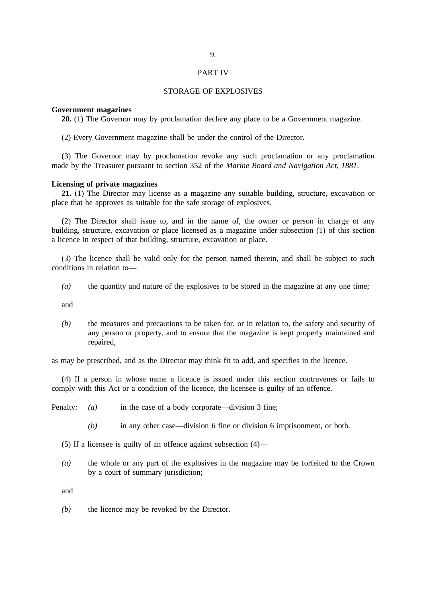#### PART IV

## STORAGE OF EXPLOSIVES

#### **Government magazines**

**20.** (1) The Governor may by proclamation declare any place to be a Government magazine.

(2) Every Government magazine shall be under the control of the Director.

(3) The Governor may by proclamation revoke any such proclamation or any proclamation made by the Treasurer pursuant to section 352 of the *Marine Board and Navigation Act, 1881*.

## **Licensing of private magazines**

**21.** (1) The Director may license as a magazine any suitable building, structure, excavation or place that he approves as suitable for the safe storage of explosives.

(2) The Director shall issue to, and in the name of, the owner or person in charge of any building, structure, excavation or place licensed as a magazine under subsection (1) of this section a licence in respect of that building, structure, excavation or place.

(3) The licence shall be valid only for the person named therein, and shall be subject to such conditions in relation to—

*(a)* the quantity and nature of the explosives to be stored in the magazine at any one time;

and

*(b)* the measures and precautions to be taken for, or in relation to, the safety and security of any person or property, and to ensure that the magazine is kept properly maintained and repaired,

as may be prescribed, and as the Director may think fit to add, and specifies in the licence.

(4) If a person in whose name a licence is issued under this section contravenes or fails to comply with this Act or a condition of the licence, the licensee is guilty of an offence.

Penalty: *(a)* in the case of a body corporate—division 3 fine;

*(b)* in any other case—division 6 fine or division 6 imprisonment, or both.

(5) If a licensee is guilty of an offence against subsection (4)—

*(a)* the whole or any part of the explosives in the magazine may be forfeited to the Crown by a court of summary jurisdiction;

and

*(b)* the licence may be revoked by the Director.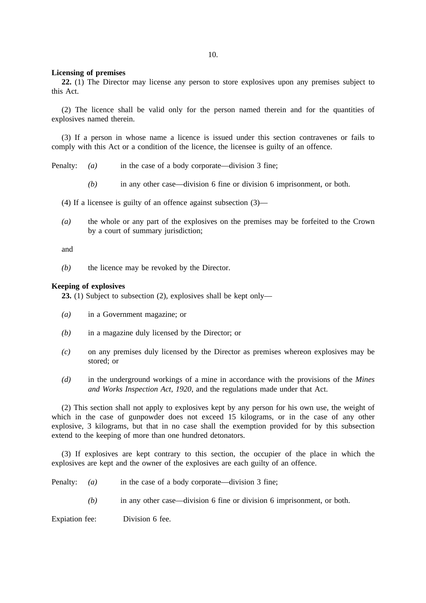#### 10.

#### **Licensing of premises**

**22.** (1) The Director may license any person to store explosives upon any premises subject to this Act.

(2) The licence shall be valid only for the person named therein and for the quantities of explosives named therein.

(3) If a person in whose name a licence is issued under this section contravenes or fails to comply with this Act or a condition of the licence, the licensee is guilty of an offence.

Penalty: *(a)* in the case of a body corporate—division 3 fine;

*(b)* in any other case—division 6 fine or division 6 imprisonment, or both.

(4) If a licensee is guilty of an offence against subsection (3)—

*(a)* the whole or any part of the explosives on the premises may be forfeited to the Crown by a court of summary jurisdiction;

and

*(b)* the licence may be revoked by the Director.

### **Keeping of explosives**

**23.** (1) Subject to subsection (2), explosives shall be kept only—

- *(a)* in a Government magazine; or
- *(b)* in a magazine duly licensed by the Director; or
- *(c)* on any premises duly licensed by the Director as premises whereon explosives may be stored; or
- *(d)* in the underground workings of a mine in accordance with the provisions of the *Mines and Works Inspection Act, 1920*, and the regulations made under that Act.

(2) This section shall not apply to explosives kept by any person for his own use, the weight of which in the case of gunpowder does not exceed 15 kilograms, or in the case of any other explosive, 3 kilograms, but that in no case shall the exemption provided for by this subsection extend to the keeping of more than one hundred detonators.

(3) If explosives are kept contrary to this section, the occupier of the place in which the explosives are kept and the owner of the explosives are each guilty of an offence.

- Penalty: *(a)* in the case of a body corporate—division 3 fine;
	- *(b)* in any other case—division 6 fine or division 6 imprisonment, or both.

Expiation fee: Division 6 fee.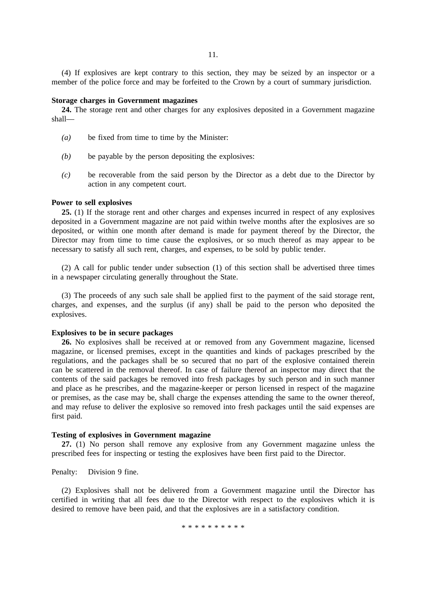(4) If explosives are kept contrary to this section, they may be seized by an inspector or a member of the police force and may be forfeited to the Crown by a court of summary jurisdiction.

#### **Storage charges in Government magazines**

**24.** The storage rent and other charges for any explosives deposited in a Government magazine shall—

- *(a)* be fixed from time to time by the Minister:
- *(b)* be payable by the person depositing the explosives:
- *(c)* be recoverable from the said person by the Director as a debt due to the Director by action in any competent court.

#### **Power to sell explosives**

**25.** (1) If the storage rent and other charges and expenses incurred in respect of any explosives deposited in a Government magazine are not paid within twelve months after the explosives are so deposited, or within one month after demand is made for payment thereof by the Director, the Director may from time to time cause the explosives, or so much thereof as may appear to be necessary to satisfy all such rent, charges, and expenses, to be sold by public tender.

(2) A call for public tender under subsection (1) of this section shall be advertised three times in a newspaper circulating generally throughout the State.

(3) The proceeds of any such sale shall be applied first to the payment of the said storage rent, charges, and expenses, and the surplus (if any) shall be paid to the person who deposited the explosives.

#### **Explosives to be in secure packages**

**26.** No explosives shall be received at or removed from any Government magazine, licensed magazine, or licensed premises, except in the quantities and kinds of packages prescribed by the regulations, and the packages shall be so secured that no part of the explosive contained therein can be scattered in the removal thereof. In case of failure thereof an inspector may direct that the contents of the said packages be removed into fresh packages by such person and in such manner and place as he prescribes, and the magazine-keeper or person licensed in respect of the magazine or premises, as the case may be, shall charge the expenses attending the same to the owner thereof, and may refuse to deliver the explosive so removed into fresh packages until the said expenses are first paid.

## **Testing of explosives in Government magazine**

**27.** (1) No person shall remove any explosive from any Government magazine unless the prescribed fees for inspecting or testing the explosives have been first paid to the Director.

Penalty: Division 9 fine.

(2) Explosives shall not be delivered from a Government magazine until the Director has certified in writing that all fees due to the Director with respect to the explosives which it is desired to remove have been paid, and that the explosives are in a satisfactory condition.

\*\*\*\*\*\*\*\*\*\*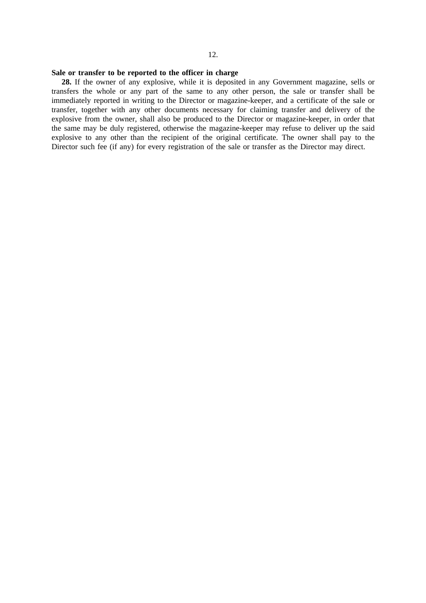### **Sale or transfer to be reported to the officer in charge**

**28.** If the owner of any explosive, while it is deposited in any Government magazine, sells or transfers the whole or any part of the same to any other person, the sale or transfer shall be immediately reported in writing to the Director or magazine-keeper, and a certificate of the sale or transfer, together with any other documents necessary for claiming transfer and delivery of the explosive from the owner, shall also be produced to the Director or magazine-keeper, in order that the same may be duly registered, otherwise the magazine-keeper may refuse to deliver up the said explosive to any other than the recipient of the original certificate. The owner shall pay to the Director such fee (if any) for every registration of the sale or transfer as the Director may direct.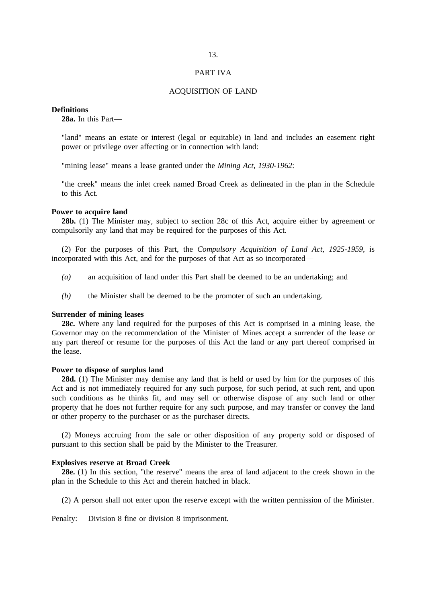#### PART IVA

## ACQUISITION OF LAND

## **Definitions**

**28a.** In this Part—

"land" means an estate or interest (legal or equitable) in land and includes an easement right power or privilege over affecting or in connection with land:

"mining lease" means a lease granted under the *Mining Act, 1930-1962*:

"the creek" means the inlet creek named Broad Creek as delineated in the plan in the Schedule to this Act.

#### **Power to acquire land**

**28b.** (1) The Minister may, subject to section 28c of this Act, acquire either by agreement or compulsorily any land that may be required for the purposes of this Act.

(2) For the purposes of this Part, the *Compulsory Acquisition of Land Act, 1925-1959*, is incorporated with this Act, and for the purposes of that Act as so incorporated—

- *(a)* an acquisition of land under this Part shall be deemed to be an undertaking; and
- *(b)* the Minister shall be deemed to be the promoter of such an undertaking.

## **Surrender of mining leases**

**28c.** Where any land required for the purposes of this Act is comprised in a mining lease, the Governor may on the recommendation of the Minister of Mines accept a surrender of the lease or any part thereof or resume for the purposes of this Act the land or any part thereof comprised in the lease.

#### **Power to dispose of surplus land**

**28d.** (1) The Minister may demise any land that is held or used by him for the purposes of this Act and is not immediately required for any such purpose, for such period, at such rent, and upon such conditions as he thinks fit, and may sell or otherwise dispose of any such land or other property that he does not further require for any such purpose, and may transfer or convey the land or other property to the purchaser or as the purchaser directs.

(2) Moneys accruing from the sale or other disposition of any property sold or disposed of pursuant to this section shall be paid by the Minister to the Treasurer.

#### **Explosives reserve at Broad Creek**

**28e.** (1) In this section, "the reserve" means the area of land adjacent to the creek shown in the plan in the Schedule to this Act and therein hatched in black.

(2) A person shall not enter upon the reserve except with the written permission of the Minister.

Penalty: Division 8 fine or division 8 imprisonment.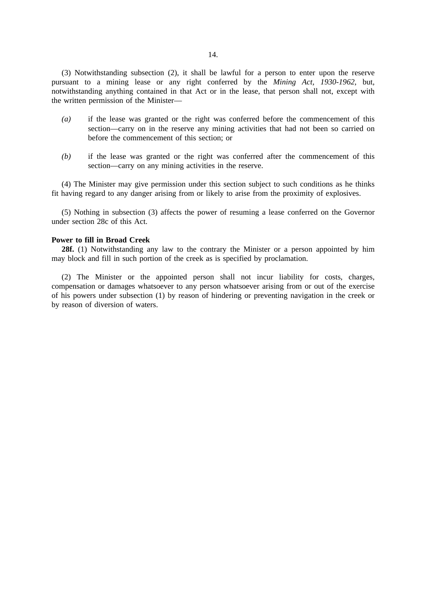14.

(3) Notwithstanding subsection (2), it shall be lawful for a person to enter upon the reserve pursuant to a mining lease or any right conferred by the *Mining Act, 1930-1962*, but, notwithstanding anything contained in that Act or in the lease, that person shall not, except with the written permission of the Minister—

- *(a)* if the lease was granted or the right was conferred before the commencement of this section—carry on in the reserve any mining activities that had not been so carried on before the commencement of this section; or
- *(b)* if the lease was granted or the right was conferred after the commencement of this section—carry on any mining activities in the reserve.

(4) The Minister may give permission under this section subject to such conditions as he thinks fit having regard to any danger arising from or likely to arise from the proximity of explosives.

(5) Nothing in subsection (3) affects the power of resuming a lease conferred on the Governor under section 28c of this Act.

### **Power to fill in Broad Creek**

28f. (1) Notwithstanding any law to the contrary the Minister or a person appointed by him may block and fill in such portion of the creek as is specified by proclamation.

(2) The Minister or the appointed person shall not incur liability for costs, charges, compensation or damages whatsoever to any person whatsoever arising from or out of the exercise of his powers under subsection (1) by reason of hindering or preventing navigation in the creek or by reason of diversion of waters.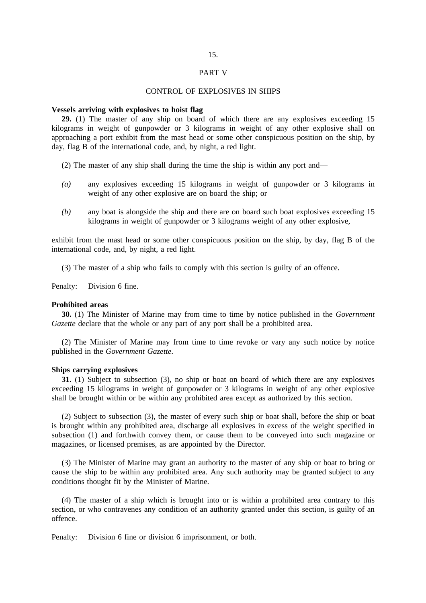#### PART V

## CONTROL OF EXPLOSIVES IN SHIPS

### **Vessels arriving with explosives to hoist flag**

**29.** (1) The master of any ship on board of which there are any explosives exceeding 15 kilograms in weight of gunpowder or 3 kilograms in weight of any other explosive shall on approaching a port exhibit from the mast head or some other conspicuous position on the ship, by day, flag B of the international code, and, by night, a red light.

- (2) The master of any ship shall during the time the ship is within any port and—
- *(a)* any explosives exceeding 15 kilograms in weight of gunpowder or 3 kilograms in weight of any other explosive are on board the ship; or
- *(b)* any boat is alongside the ship and there are on board such boat explosives exceeding 15 kilograms in weight of gunpowder or 3 kilograms weight of any other explosive,

exhibit from the mast head or some other conspicuous position on the ship, by day, flag B of the international code, and, by night, a red light.

(3) The master of a ship who fails to comply with this section is guilty of an offence.

Penalty: Division 6 fine.

#### **Prohibited areas**

**30.** (1) The Minister of Marine may from time to time by notice published in the *Government Gazette* declare that the whole or any part of any port shall be a prohibited area.

(2) The Minister of Marine may from time to time revoke or vary any such notice by notice published in the *Government Gazette*.

### **Ships carrying explosives**

**31.** (1) Subject to subsection (3), no ship or boat on board of which there are any explosives exceeding 15 kilograms in weight of gunpowder or 3 kilograms in weight of any other explosive shall be brought within or be within any prohibited area except as authorized by this section.

(2) Subject to subsection (3), the master of every such ship or boat shall, before the ship or boat is brought within any prohibited area, discharge all explosives in excess of the weight specified in subsection (1) and forthwith convey them, or cause them to be conveyed into such magazine or magazines, or licensed premises, as are appointed by the Director.

(3) The Minister of Marine may grant an authority to the master of any ship or boat to bring or cause the ship to be within any prohibited area. Any such authority may be granted subject to any conditions thought fit by the Minister of Marine.

(4) The master of a ship which is brought into or is within a prohibited area contrary to this section, or who contravenes any condition of an authority granted under this section, is guilty of an offence.

Penalty: Division 6 fine or division 6 imprisonment, or both.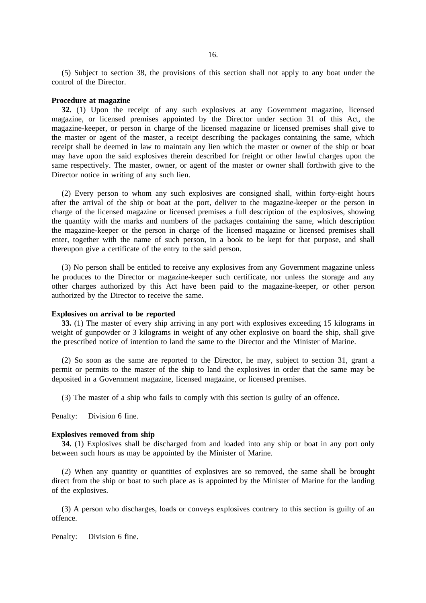(5) Subject to section 38, the provisions of this section shall not apply to any boat under the control of the Director.

#### **Procedure at magazine**

**32.** (1) Upon the receipt of any such explosives at any Government magazine, licensed magazine, or licensed premises appointed by the Director under section 31 of this Act, the magazine-keeper, or person in charge of the licensed magazine or licensed premises shall give to the master or agent of the master, a receipt describing the packages containing the same, which receipt shall be deemed in law to maintain any lien which the master or owner of the ship or boat may have upon the said explosives therein described for freight or other lawful charges upon the same respectively. The master, owner, or agent of the master or owner shall forthwith give to the Director notice in writing of any such lien.

(2) Every person to whom any such explosives are consigned shall, within forty-eight hours after the arrival of the ship or boat at the port, deliver to the magazine-keeper or the person in charge of the licensed magazine or licensed premises a full description of the explosives, showing the quantity with the marks and numbers of the packages containing the same, which description the magazine-keeper or the person in charge of the licensed magazine or licensed premises shall enter, together with the name of such person, in a book to be kept for that purpose, and shall thereupon give a certificate of the entry to the said person.

(3) No person shall be entitled to receive any explosives from any Government magazine unless he produces to the Director or magazine-keeper such certificate, nor unless the storage and any other charges authorized by this Act have been paid to the magazine-keeper, or other person authorized by the Director to receive the same.

#### **Explosives on arrival to be reported**

**33.** (1) The master of every ship arriving in any port with explosives exceeding 15 kilograms in weight of gunpowder or 3 kilograms in weight of any other explosive on board the ship, shall give the prescribed notice of intention to land the same to the Director and the Minister of Marine.

(2) So soon as the same are reported to the Director, he may, subject to section 31, grant a permit or permits to the master of the ship to land the explosives in order that the same may be deposited in a Government magazine, licensed magazine, or licensed premises.

(3) The master of a ship who fails to comply with this section is guilty of an offence.

Penalty: Division 6 fine.

### **Explosives removed from ship**

**34.** (1) Explosives shall be discharged from and loaded into any ship or boat in any port only between such hours as may be appointed by the Minister of Marine.

(2) When any quantity or quantities of explosives are so removed, the same shall be brought direct from the ship or boat to such place as is appointed by the Minister of Marine for the landing of the explosives.

(3) A person who discharges, loads or conveys explosives contrary to this section is guilty of an offence.

Penalty: Division 6 fine.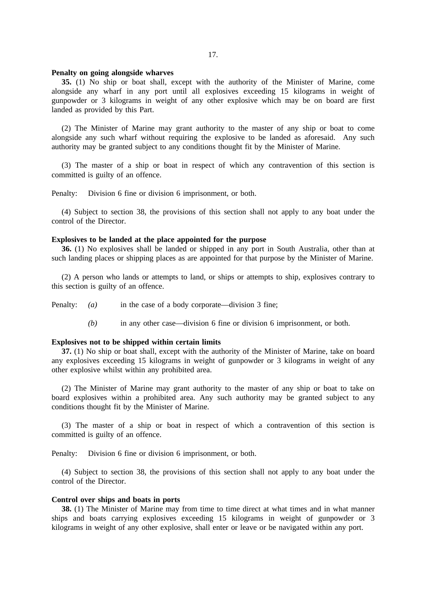#### **Penalty on going alongside wharves**

**35.** (1) No ship or boat shall, except with the authority of the Minister of Marine, come alongside any wharf in any port until all explosives exceeding 15 kilograms in weight of gunpowder or 3 kilograms in weight of any other explosive which may be on board are first landed as provided by this Part.

(2) The Minister of Marine may grant authority to the master of any ship or boat to come alongside any such wharf without requiring the explosive to be landed as aforesaid. Any such authority may be granted subject to any conditions thought fit by the Minister of Marine.

(3) The master of a ship or boat in respect of which any contravention of this section is committed is guilty of an offence.

Penalty: Division 6 fine or division 6 imprisonment, or both.

(4) Subject to section 38, the provisions of this section shall not apply to any boat under the control of the Director.

## **Explosives to be landed at the place appointed for the purpose**

**36.** (1) No explosives shall be landed or shipped in any port in South Australia, other than at such landing places or shipping places as are appointed for that purpose by the Minister of Marine.

(2) A person who lands or attempts to land, or ships or attempts to ship, explosives contrary to this section is guilty of an offence.

Penalty: *(a)* in the case of a body corporate—division 3 fine;

*(b)* in any other case—division 6 fine or division 6 imprisonment, or both.

## **Explosives not to be shipped within certain limits**

**37.** (1) No ship or boat shall, except with the authority of the Minister of Marine, take on board any explosives exceeding 15 kilograms in weight of gunpowder or 3 kilograms in weight of any other explosive whilst within any prohibited area.

(2) The Minister of Marine may grant authority to the master of any ship or boat to take on board explosives within a prohibited area. Any such authority may be granted subject to any conditions thought fit by the Minister of Marine.

(3) The master of a ship or boat in respect of which a contravention of this section is committed is guilty of an offence.

Penalty: Division 6 fine or division 6 imprisonment, or both.

(4) Subject to section 38, the provisions of this section shall not apply to any boat under the control of the Director.

#### **Control over ships and boats in ports**

**38.** (1) The Minister of Marine may from time to time direct at what times and in what manner ships and boats carrying explosives exceeding 15 kilograms in weight of gunpowder or 3 kilograms in weight of any other explosive, shall enter or leave or be navigated within any port.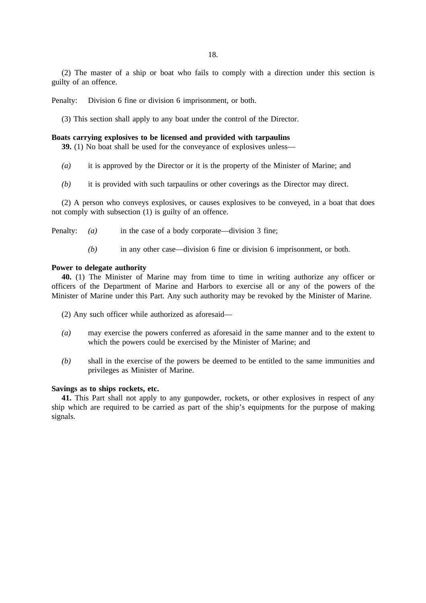(2) The master of a ship or boat who fails to comply with a direction under this section is guilty of an offence.

Penalty: Division 6 fine or division 6 imprisonment, or both.

(3) This section shall apply to any boat under the control of the Director.

## **Boats carrying explosives to be licensed and provided with tarpaulins**

**39.** (1) No boat shall be used for the conveyance of explosives unless—

- *(a)* it is approved by the Director or it is the property of the Minister of Marine; and
- *(b)* it is provided with such tarpaulins or other coverings as the Director may direct.

(2) A person who conveys explosives, or causes explosives to be conveyed, in a boat that does not comply with subsection (1) is guilty of an offence.

Penalty: *(a)* in the case of a body corporate—division 3 fine;

*(b)* in any other case—division 6 fine or division 6 imprisonment, or both.

## **Power to delegate authority**

**40.** (1) The Minister of Marine may from time to time in writing authorize any officer or officers of the Department of Marine and Harbors to exercise all or any of the powers of the Minister of Marine under this Part. Any such authority may be revoked by the Minister of Marine.

(2) Any such officer while authorized as aforesaid—

- *(a)* may exercise the powers conferred as aforesaid in the same manner and to the extent to which the powers could be exercised by the Minister of Marine; and
- *(b)* shall in the exercise of the powers be deemed to be entitled to the same immunities and privileges as Minister of Marine.

## **Savings as to ships rockets, etc.**

**41.** This Part shall not apply to any gunpowder, rockets, or other explosives in respect of any ship which are required to be carried as part of the ship's equipments for the purpose of making signals.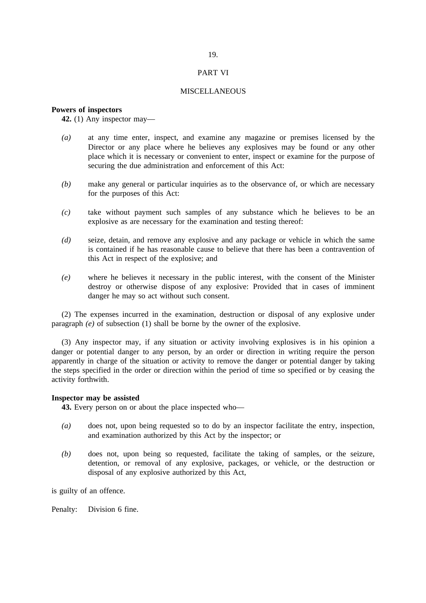## PART VI

### **MISCELLANEOUS**

## **Powers of inspectors**

**42.** (1) Any inspector may—

- *(a)* at any time enter, inspect, and examine any magazine or premises licensed by the Director or any place where he believes any explosives may be found or any other place which it is necessary or convenient to enter, inspect or examine for the purpose of securing the due administration and enforcement of this Act:
- *(b)* make any general or particular inquiries as to the observance of, or which are necessary for the purposes of this Act:
- *(c)* take without payment such samples of any substance which he believes to be an explosive as are necessary for the examination and testing thereof:
- *(d)* seize, detain, and remove any explosive and any package or vehicle in which the same is contained if he has reasonable cause to believe that there has been a contravention of this Act in respect of the explosive; and
- *(e)* where he believes it necessary in the public interest, with the consent of the Minister destroy or otherwise dispose of any explosive: Provided that in cases of imminent danger he may so act without such consent.

(2) The expenses incurred in the examination, destruction or disposal of any explosive under paragraph *(e)* of subsection (1) shall be borne by the owner of the explosive.

(3) Any inspector may, if any situation or activity involving explosives is in his opinion a danger or potential danger to any person, by an order or direction in writing require the person apparently in charge of the situation or activity to remove the danger or potential danger by taking the steps specified in the order or direction within the period of time so specified or by ceasing the activity forthwith.

#### **Inspector may be assisted**

**43.** Every person on or about the place inspected who—

- *(a)* does not, upon being requested so to do by an inspector facilitate the entry, inspection, and examination authorized by this Act by the inspector; or
- *(b)* does not, upon being so requested, facilitate the taking of samples, or the seizure, detention, or removal of any explosive, packages, or vehicle, or the destruction or disposal of any explosive authorized by this Act,

is guilty of an offence.

Penalty: Division 6 fine.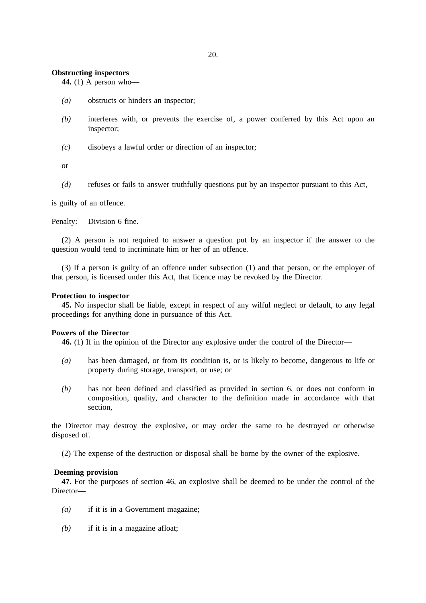### **Obstructing inspectors**

**44.** (1) A person who—

- *(a)* obstructs or hinders an inspector;
- *(b)* interferes with, or prevents the exercise of, a power conferred by this Act upon an inspector;
- *(c)* disobeys a lawful order or direction of an inspector;

or

*(d)* refuses or fails to answer truthfully questions put by an inspector pursuant to this Act,

is guilty of an offence.

Penalty: Division 6 fine.

(2) A person is not required to answer a question put by an inspector if the answer to the question would tend to incriminate him or her of an offence.

(3) If a person is guilty of an offence under subsection (1) and that person, or the employer of that person, is licensed under this Act, that licence may be revoked by the Director.

## **Protection to inspector**

**45.** No inspector shall be liable, except in respect of any wilful neglect or default, to any legal proceedings for anything done in pursuance of this Act.

## **Powers of the Director**

**46.** (1) If in the opinion of the Director any explosive under the control of the Director—

- *(a)* has been damaged, or from its condition is, or is likely to become, dangerous to life or property during storage, transport, or use; or
- *(b)* has not been defined and classified as provided in section 6, or does not conform in composition, quality, and character to the definition made in accordance with that section,

the Director may destroy the explosive, or may order the same to be destroyed or otherwise disposed of.

(2) The expense of the destruction or disposal shall be borne by the owner of the explosive.

#### **Deeming provision**

**47.** For the purposes of section 46, an explosive shall be deemed to be under the control of the Director—

- *(a)* if it is in a Government magazine;
- *(b)* if it is in a magazine afloat;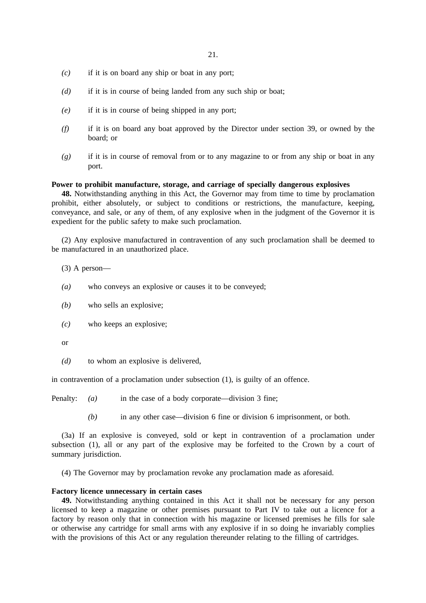- *(c)* if it is on board any ship or boat in any port;
- *(d)* if it is in course of being landed from any such ship or boat;
- *(e)* if it is in course of being shipped in any port;
- *(f)* if it is on board any boat approved by the Director under section 39, or owned by the board; or
- *(g)* if it is in course of removal from or to any magazine to or from any ship or boat in any port.

#### **Power to prohibit manufacture, storage, and carriage of specially dangerous explosives**

**48.** Notwithstanding anything in this Act, the Governor may from time to time by proclamation prohibit, either absolutely, or subject to conditions or restrictions, the manufacture, keeping, conveyance, and sale, or any of them, of any explosive when in the judgment of the Governor it is expedient for the public safety to make such proclamation.

(2) Any explosive manufactured in contravention of any such proclamation shall be deemed to be manufactured in an unauthorized place.

(3) A person—

- *(a)* who conveys an explosive or causes it to be conveyed;
- *(b)* who sells an explosive;
- *(c)* who keeps an explosive;

or

*(d)* to whom an explosive is delivered,

in contravention of a proclamation under subsection (1), is guilty of an offence.

Penalty: *(a)* in the case of a body corporate—division 3 fine;

*(b)* in any other case—division 6 fine or division 6 imprisonment, or both.

(3a) If an explosive is conveyed, sold or kept in contravention of a proclamation under subsection (1), all or any part of the explosive may be forfeited to the Crown by a court of summary jurisdiction.

(4) The Governor may by proclamation revoke any proclamation made as aforesaid.

## **Factory licence unnecessary in certain cases**

**49.** Notwithstanding anything contained in this Act it shall not be necessary for any person licensed to keep a magazine or other premises pursuant to Part IV to take out a licence for a factory by reason only that in connection with his magazine or licensed premises he fills for sale or otherwise any cartridge for small arms with any explosive if in so doing he invariably complies with the provisions of this Act or any regulation thereunder relating to the filling of cartridges.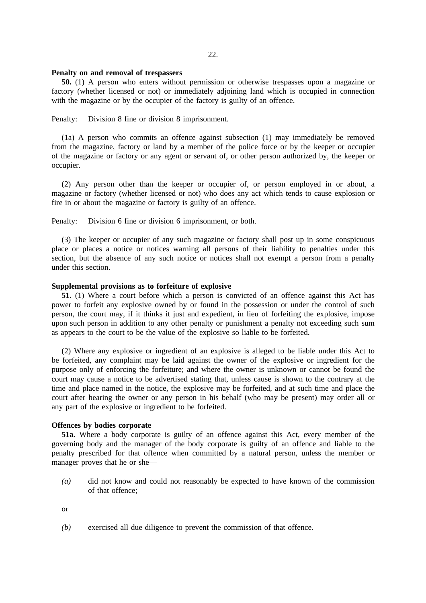### 22.

#### **Penalty on and removal of trespassers**

**50.** (1) A person who enters without permission or otherwise trespasses upon a magazine or factory (whether licensed or not) or immediately adjoining land which is occupied in connection with the magazine or by the occupier of the factory is guilty of an offence.

Penalty: Division 8 fine or division 8 imprisonment.

(1a) A person who commits an offence against subsection (1) may immediately be removed from the magazine, factory or land by a member of the police force or by the keeper or occupier of the magazine or factory or any agent or servant of, or other person authorized by, the keeper or occupier.

(2) Any person other than the keeper or occupier of, or person employed in or about, a magazine or factory (whether licensed or not) who does any act which tends to cause explosion or fire in or about the magazine or factory is guilty of an offence.

Penalty: Division 6 fine or division 6 imprisonment, or both.

(3) The keeper or occupier of any such magazine or factory shall post up in some conspicuous place or places a notice or notices warning all persons of their liability to penalties under this section, but the absence of any such notice or notices shall not exempt a person from a penalty under this section.

## **Supplemental provisions as to forfeiture of explosive**

**51.** (1) Where a court before which a person is convicted of an offence against this Act has power to forfeit any explosive owned by or found in the possession or under the control of such person, the court may, if it thinks it just and expedient, in lieu of forfeiting the explosive, impose upon such person in addition to any other penalty or punishment a penalty not exceeding such sum as appears to the court to be the value of the explosive so liable to be forfeited.

(2) Where any explosive or ingredient of an explosive is alleged to be liable under this Act to be forfeited, any complaint may be laid against the owner of the explosive or ingredient for the purpose only of enforcing the forfeiture; and where the owner is unknown or cannot be found the court may cause a notice to be advertised stating that, unless cause is shown to the contrary at the time and place named in the notice, the explosive may be forfeited, and at such time and place the court after hearing the owner or any person in his behalf (who may be present) may order all or any part of the explosive or ingredient to be forfeited.

#### **Offences by bodies corporate**

**51a.** Where a body corporate is guilty of an offence against this Act, every member of the governing body and the manager of the body corporate is guilty of an offence and liable to the penalty prescribed for that offence when committed by a natural person, unless the member or manager proves that he or she—

*(a)* did not know and could not reasonably be expected to have known of the commission of that offence;

or

*(b)* exercised all due diligence to prevent the commission of that offence.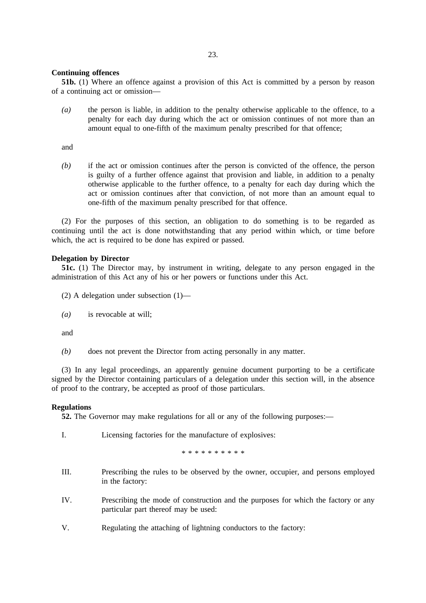### **Continuing offences**

**51b.** (1) Where an offence against a provision of this Act is committed by a person by reason of a continuing act or omission—

*(a)* the person is liable, in addition to the penalty otherwise applicable to the offence, to a penalty for each day during which the act or omission continues of not more than an amount equal to one-fifth of the maximum penalty prescribed for that offence;

and

*(b)* if the act or omission continues after the person is convicted of the offence, the person is guilty of a further offence against that provision and liable, in addition to a penalty otherwise applicable to the further offence, to a penalty for each day during which the act or omission continues after that conviction, of not more than an amount equal to one-fifth of the maximum penalty prescribed for that offence.

(2) For the purposes of this section, an obligation to do something is to be regarded as continuing until the act is done notwithstanding that any period within which, or time before which, the act is required to be done has expired or passed.

## **Delegation by Director**

**51c.** (1) The Director may, by instrument in writing, delegate to any person engaged in the administration of this Act any of his or her powers or functions under this Act.

- (2) A delegation under subsection (1)—
- *(a)* is revocable at will;

and

*(b)* does not prevent the Director from acting personally in any matter.

(3) In any legal proceedings, an apparently genuine document purporting to be a certificate signed by the Director containing particulars of a delegation under this section will, in the absence of proof to the contrary, be accepted as proof of those particulars.

## **Regulations**

**52.** The Governor may make regulations for all or any of the following purposes:—

I. Licensing factories for the manufacture of explosives:

\*\*\*\*\*\*\*\*\*\*

- III. Prescribing the rules to be observed by the owner, occupier, and persons employed in the factory:
- IV. Prescribing the mode of construction and the purposes for which the factory or any particular part thereof may be used:
- V. Regulating the attaching of lightning conductors to the factory: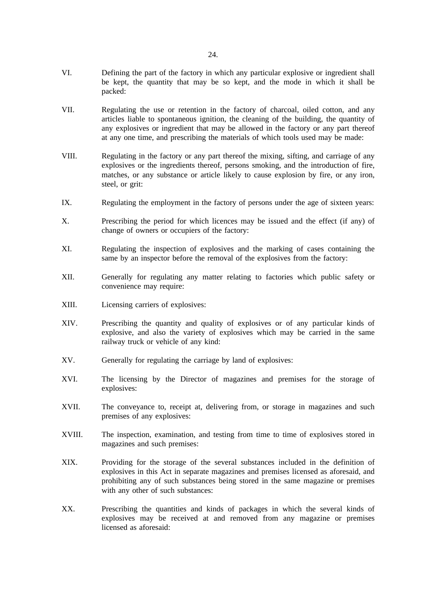- VI. Defining the part of the factory in which any particular explosive or ingredient shall be kept, the quantity that may be so kept, and the mode in which it shall be packed:
- VII. Regulating the use or retention in the factory of charcoal, oiled cotton, and any articles liable to spontaneous ignition, the cleaning of the building, the quantity of any explosives or ingredient that may be allowed in the factory or any part thereof at any one time, and prescribing the materials of which tools used may be made:
- VIII. Regulating in the factory or any part thereof the mixing, sifting, and carriage of any explosives or the ingredients thereof, persons smoking, and the introduction of fire, matches, or any substance or article likely to cause explosion by fire, or any iron, steel, or grit:
- IX. Regulating the employment in the factory of persons under the age of sixteen years:
- X. Prescribing the period for which licences may be issued and the effect (if any) of change of owners or occupiers of the factory:
- XI. Regulating the inspection of explosives and the marking of cases containing the same by an inspector before the removal of the explosives from the factory:
- XII. Generally for regulating any matter relating to factories which public safety or convenience may require:
- XIII. Licensing carriers of explosives:
- XIV. Prescribing the quantity and quality of explosives or of any particular kinds of explosive, and also the variety of explosives which may be carried in the same railway truck or vehicle of any kind:
- XV. Generally for regulating the carriage by land of explosives:
- XVI. The licensing by the Director of magazines and premises for the storage of explosives:
- XVII. The conveyance to, receipt at, delivering from, or storage in magazines and such premises of any explosives:
- XVIII. The inspection, examination, and testing from time to time of explosives stored in magazines and such premises:
- XIX. Providing for the storage of the several substances included in the definition of explosives in this Act in separate magazines and premises licensed as aforesaid, and prohibiting any of such substances being stored in the same magazine or premises with any other of such substances:
- XX. Prescribing the quantities and kinds of packages in which the several kinds of explosives may be received at and removed from any magazine or premises licensed as aforesaid: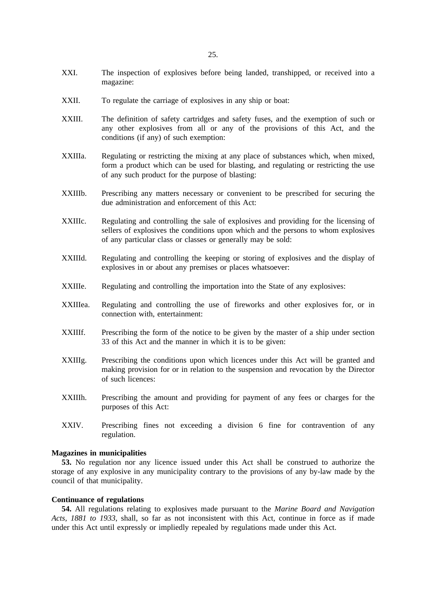- XXI. The inspection of explosives before being landed, transhipped, or received into a magazine:
- XXII. To regulate the carriage of explosives in any ship or boat:
- XXIII. The definition of safety cartridges and safety fuses, and the exemption of such or any other explosives from all or any of the provisions of this Act, and the conditions (if any) of such exemption:
- XXIIIa. Regulating or restricting the mixing at any place of substances which, when mixed, form a product which can be used for blasting, and regulating or restricting the use of any such product for the purpose of blasting:
- XXIIIb. Prescribing any matters necessary or convenient to be prescribed for securing the due administration and enforcement of this Act:
- XXIIIc. Regulating and controlling the sale of explosives and providing for the licensing of sellers of explosives the conditions upon which and the persons to whom explosives of any particular class or classes or generally may be sold:
- XXIIId. Regulating and controlling the keeping or storing of explosives and the display of explosives in or about any premises or places whatsoever:
- XXIIIe. Regulating and controlling the importation into the State of any explosives:
- XXIIIea. Regulating and controlling the use of fireworks and other explosives for, or in connection with, entertainment:
- XXIIIf. Prescribing the form of the notice to be given by the master of a ship under section 33 of this Act and the manner in which it is to be given:
- XXIIIg. Prescribing the conditions upon which licences under this Act will be granted and making provision for or in relation to the suspension and revocation by the Director of such licences:
- XXIIIh. Prescribing the amount and providing for payment of any fees or charges for the purposes of this Act:
- XXIV. Prescribing fines not exceeding a division 6 fine for contravention of any regulation.

## **Magazines in municipalities**

**53.** No regulation nor any licence issued under this Act shall be construed to authorize the storage of any explosive in any municipality contrary to the provisions of any by-law made by the council of that municipality.

#### **Continuance of regulations**

**54.** All regulations relating to explosives made pursuant to the *Marine Board and Navigation Acts, 1881 to 1933*, shall, so far as not inconsistent with this Act, continue in force as if made under this Act until expressly or impliedly repealed by regulations made under this Act.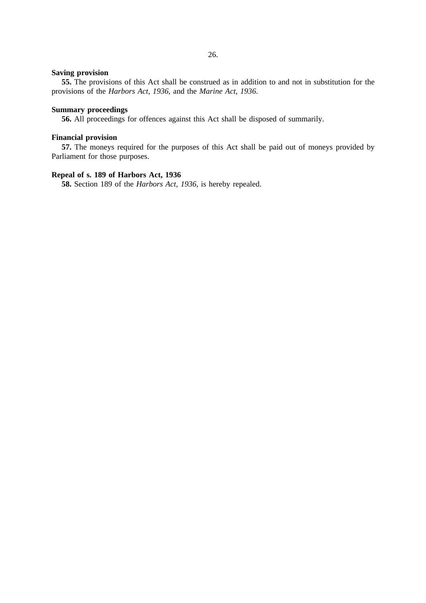## **Saving provision**

**55.** The provisions of this Act shall be construed as in addition to and not in substitution for the provisions of the *Harbors Act, 1936*, and the *Marine Act, 1936*.

## **Summary proceedings**

**56.** All proceedings for offences against this Act shall be disposed of summarily.

## **Financial provision**

**57.** The moneys required for the purposes of this Act shall be paid out of moneys provided by Parliament for those purposes.

## **Repeal of s. 189 of Harbors Act, 1936**

**58.** Section 189 of the *Harbors Act, 1936*, is hereby repealed.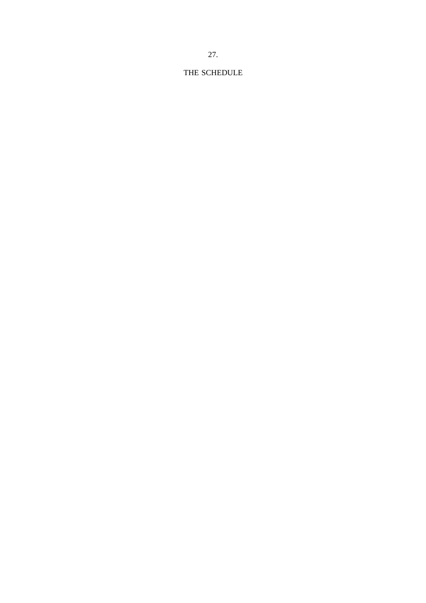# THE SCHEDULE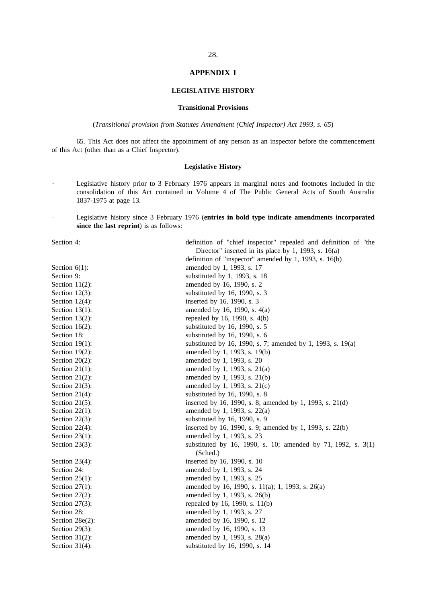### **APPENDIX 1**

## **LEGISLATIVE HISTORY**

### **Transitional Provisions**

(*Transitional provision from Statutes Amendment (Chief Inspector) Act 1993, s. 65*)

65. This Act does not affect the appointment of any person as an inspector before the commencement of this Act (other than as a Chief Inspector).

#### **Legislative History**

- $\ddot{\phantom{0}}$ Legislative history prior to 3 February 1976 appears in marginal notes and footnotes included in the consolidation of this Act contained in Volume 4 of The Public General Acts of South Australia 1837-1975 at page 13.
- Legislative history since 3 February 1976 (**entries in bold type indicate amendments incorporated**  $\ddot{\phantom{a}}$ **since the last reprint**) is as follows:

Section 4: definition of "chief inspector" repealed and definition of "the

| Director" inserted in its place by 1, 1993, s. $16(a)$ |                                                                          |  |
|--------------------------------------------------------|--------------------------------------------------------------------------|--|
|                                                        | definition of "inspector" amended by 1, 1993, s. $16(b)$                 |  |
| Section $6(1)$ :                                       | amended by 1, 1993, s. 17                                                |  |
| Section 9:                                             | substituted by 1, 1993, s. 18                                            |  |
| Section $11(2)$ :                                      | amended by 16, 1990, s. 2                                                |  |
| Section $12(3)$ :                                      | substituted by 16, 1990, s. 3                                            |  |
| Section $12(4)$ :                                      | inserted by 16, 1990, s. 3                                               |  |
| Section $13(1)$ :                                      | amended by 16, 1990, s. 4(a)                                             |  |
| Section $13(2)$ :                                      | repealed by 16, 1990, s. 4(b)                                            |  |
| Section $16(2)$ :                                      | substituted by 16, 1990, s. 5                                            |  |
| Section 18:                                            | substituted by 16, 1990, s. 6                                            |  |
| Section $19(1)$ :                                      | substituted by 16, 1990, s. 7; amended by 1, 1993, s. 19(a)              |  |
| Section $19(2)$ :                                      | amended by 1, 1993, s. 19(b)                                             |  |
| Section $20(2)$ :                                      | amended by 1, 1993, s. 20                                                |  |
| Section $21(1)$ :                                      | amended by 1, 1993, s. 21(a)                                             |  |
| Section $21(2)$ :                                      | amended by 1, 1993, s. 21(b)                                             |  |
| Section $21(3)$ :                                      | amended by 1, 1993, s. 21(c)                                             |  |
| Section $21(4)$ :                                      | substituted by 16, 1990, s. 8                                            |  |
| Section $21(5)$ :                                      | inserted by 16, 1990, s. 8; amended by 1, 1993, s. 21(d)                 |  |
| Section $22(1)$ :                                      | amended by 1, 1993, s. 22(a)                                             |  |
| Section $22(3)$ :                                      | substituted by 16, 1990, s. 9                                            |  |
| Section $22(4)$ :                                      | inserted by 16, 1990, s. 9; amended by 1, 1993, s. 22(b)                 |  |
| Section $23(1)$ :                                      | amended by 1, 1993, s. 23                                                |  |
| Section $23(3)$ :                                      | substituted by 16, 1990, s. 10; amended by 71, 1992, s. 3(1)<br>(Sched.) |  |
| Section $23(4)$ :                                      | inserted by 16, 1990, s. 10                                              |  |
| Section 24:                                            | amended by 1, 1993, s. 24                                                |  |
| Section $25(1)$ :                                      | amended by 1, 1993, s. 25                                                |  |
| Section $27(1)$ :                                      | amended by 16, 1990, s. 11(a); 1, 1993, s. 26(a)                         |  |
| Section $27(2)$ :                                      | amended by 1, 1993, s. 26(b)                                             |  |
| Section $27(3)$ :                                      | repealed by 16, 1990, s. 11(b)                                           |  |
| Section 28:                                            | amended by 1, 1993, s. 27                                                |  |
| Section 28e(2):                                        | amended by 16, 1990, s. 12                                               |  |
| Section $29(3)$ :                                      | amended by 16, 1990, s. 13                                               |  |
| Section $31(2)$ :                                      | amended by 1, 1993, s. 28(a)                                             |  |
| Section $31(4)$ :                                      | substituted by 16, 1990, s. 14                                           |  |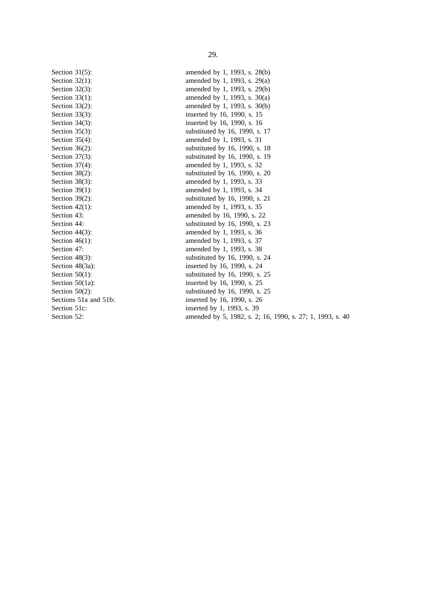Section 31(5): amended by 1, 1993, s. 28(b) Section 32(1): amended by 1, 1993, s. 29(a) Section 32(3): amended by 1, 1993, s. 29(b) Section 33(1): amended by 1, 1993, s. 30(a) Section 33(2): amended by 1, 1993, s. 30(b) Section 33(3): inserted by 16, 1990, s. 15 Section 34(3): inserted by 16, 1990, s. 16 Section 35(3): substituted by 16, 1990, s. 17 Section 35(4): amended by 1, 1993, s. 31 Section 36(2): substituted by 16, 1990, s. 18 Section 37(3): substituted by 16, 1990, s. 19 Section 37(4): amended by 1, 1993, s. 32 Section 38(2): substituted by 16, 1990, s. 20 Section 38(3): amended by 1, 1993, s. 33 Section 39(1): amended by 1, 1993, s. 34 Section 39(2): substituted by 16, 1990, s. 21 Section 42(1): amended by 1, 1993, s. 35 Section 43: **amended by 16, 1990, s. 22** Section 44: substituted by 16, 1990, s. 23 Section 44(3): amended by 1, 1993, s. 36 Section 46(1): amended by 1, 1993, s. 37 Section 47: amended by 1, 1993, s. 38 Section 48(3): substituted by 16, 1990, s. 24 Section 48(3a): inserted by 16, 1990, s. 24 Section 50(1): substituted by 16, 1990, s. 25 Section 50(1a): inserted by 16, 1990, s. 25 Section  $50(2)$ : substituted by 16, 1990, s. 25 Sections 51a and 51b: inserted by 16, 1990, s. 26 Section 51c: inserted by 1, 1993, s. 39 Section 52: amended by 5, 1982, s. 2; 16, 1990, s. 27; 1, 1993, s. 40